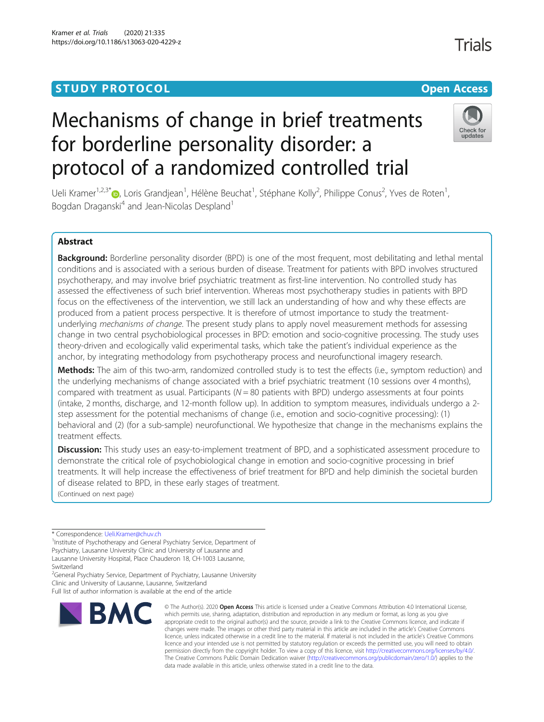## **STUDY PROTOCOL CONSUMING THE RESERVE ACCESS**

# Mechanisms of change in brief treatments for borderline personality disorder: a protocol of a randomized controlled trial

Ueli Kramer<sup>1[,](http://orcid.org/0000-0002-5603-0394)2,3\*</sup>®, Loris Grandjean<sup>1</sup>, Hélène Beuchat<sup>1</sup>, Stéphane Kolly<sup>2</sup>, Philippe Conus<sup>2</sup>, Yves de Roten<sup>1</sup> , Bogdan Draganski<sup>4</sup> and Jean-Nicolas Despland<sup>1</sup>

## Abstract

Background: Borderline personality disorder (BPD) is one of the most frequent, most debilitating and lethal mental conditions and is associated with a serious burden of disease. Treatment for patients with BPD involves structured psychotherapy, and may involve brief psychiatric treatment as first-line intervention. No controlled study has assessed the effectiveness of such brief intervention. Whereas most psychotherapy studies in patients with BPD focus on the effectiveness of the intervention, we still lack an understanding of how and why these effects are produced from a patient process perspective. It is therefore of utmost importance to study the treatmentunderlying mechanisms of change. The present study plans to apply novel measurement methods for assessing change in two central psychobiological processes in BPD: emotion and socio-cognitive processing. The study uses theory-driven and ecologically valid experimental tasks, which take the patient's individual experience as the anchor, by integrating methodology from psychotherapy process and neurofunctional imagery research.

Methods: The aim of this two-arm, randomized controlled study is to test the effects (i.e., symptom reduction) and the underlying mechanisms of change associated with a brief psychiatric treatment (10 sessions over 4 months), compared with treatment as usual. Participants ( $N = 80$  patients with BPD) undergo assessments at four points (intake, 2 months, discharge, and 12-month follow up). In addition to symptom measures, individuals undergo a 2 step assessment for the potential mechanisms of change (i.e., emotion and socio-cognitive processing): (1) behavioral and (2) (for a sub-sample) neurofunctional. We hypothesize that change in the mechanisms explains the treatment effects.

**Discussion:** This study uses an easy-to-implement treatment of BPD, and a sophisticated assessment procedure to demonstrate the critical role of psychobiological change in emotion and socio-cognitive processing in brief treatments. It will help increase the effectiveness of brief treatment for BPD and help diminish the societal burden of disease related to BPD, in these early stages of treatment. (Continued on next page)

<sup>1</sup>Institute of Psychotherapy and General Psychiatry Service, Department of Psychiatry, Lausanne University Clinic and University of Lausanne and Lausanne University Hospital, Place Chauderon 18, CH-1003 Lausanne, Switzerland

<sup>2</sup>General Psychiatry Service, Department of Psychiatry, Lausanne University Clinic and University of Lausanne, Lausanne, Switzerland

Full list of author information is available at the end of the article



<sup>©</sup> The Author(s), 2020 **Open Access** This article is licensed under a Creative Commons Attribution 4.0 International License, which permits use, sharing, adaptation, distribution and reproduction in any medium or format, as long as you give appropriate credit to the original author(s) and the source, provide a link to the Creative Commons licence, and indicate if changes were made. The images or other third party material in this article are included in the article's Creative Commons licence, unless indicated otherwise in a credit line to the material. If material is not included in the article's Creative Commons licence and your intended use is not permitted by statutory regulation or exceeds the permitted use, you will need to obtain permission directly from the copyright holder. To view a copy of this licence, visit [http://creativecommons.org/licenses/by/4.0/.](http://creativecommons.org/licenses/by/4.0/) The Creative Commons Public Domain Dedication waiver [\(http://creativecommons.org/publicdomain/zero/1.0/](http://creativecommons.org/publicdomain/zero/1.0/)) applies to the data made available in this article, unless otherwise stated in a credit line to the data.



Check for undate

<sup>\*</sup> Correspondence: [Ueli.Kramer@chuv.ch](mailto:Ueli.Kramer@chuv.ch) <sup>1</sup>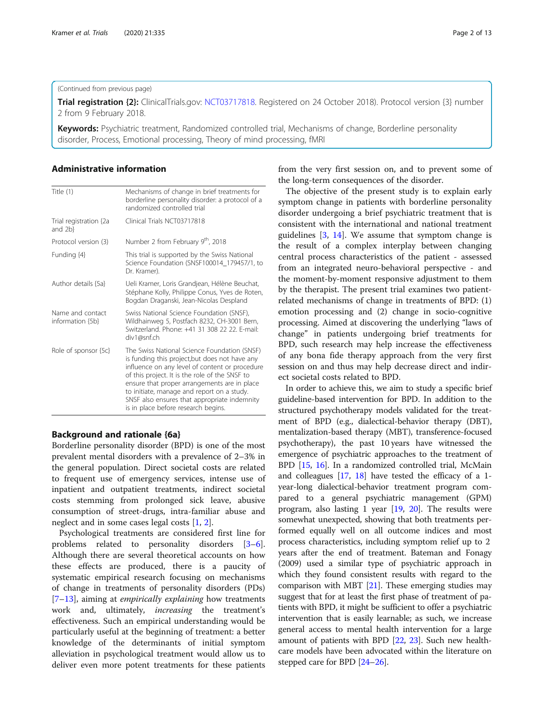#### (Continued from previous page)

Trial registration {2}: ClinicalTrials.gov: [NCT03717818](https://clinicaltrials.gov/ct2/show/NCT03717818?cond=Borderline+Personality+Disorder&cntry=CH&draw=2&rank=1). Registered on 24 October 2018). Protocol version {3} number 2 from 9 February 2018.

Keywords: Psychiatric treatment, Randomized controlled trial, Mechanisms of change, Borderline personality disorder, Process, Emotional processing, Theory of mind processing, fMRI

## Administrative information

| Title (1)                            | Mechanisms of change in brief treatments for<br>borderline personality disorder: a protocol of a<br>randomized controlled trial                                                                                                                                                                                                                                                         |
|--------------------------------------|-----------------------------------------------------------------------------------------------------------------------------------------------------------------------------------------------------------------------------------------------------------------------------------------------------------------------------------------------------------------------------------------|
| Trial registration {2a<br>and 2b}    | Clinical Trials NCT03717818                                                                                                                                                                                                                                                                                                                                                             |
| Protocol version (3)                 | Number 2 from February 9 <sup>th</sup> , 2018                                                                                                                                                                                                                                                                                                                                           |
| Funding {4}                          | This trial is supported by the Swiss National<br>Science Foundation (SNSF100014 179457/1, to<br>Dr. Kramer).                                                                                                                                                                                                                                                                            |
| Author details {5a}                  | Ueli Kramer, Loris Grandjean, Hélène Beuchat,<br>Stéphane Kolly, Philippe Conus, Yves de Roten,<br>Bogdan Draganski, Jean-Nicolas Despland                                                                                                                                                                                                                                              |
| Name and contact<br>information {5b} | Swiss National Science Foundation (SNSF),<br>Wildhainweg 5, Postfach 8232, CH-3001 Bern,<br>Switzerland, Phone: +41 31 308 22 22, E-mail:<br>div1@snf.ch                                                                                                                                                                                                                                |
| Role of sponsor {5c}                 | The Swiss National Science Foundation (SNSF)<br>is funding this project, but does not have any<br>influence on any level of content or procedure<br>of this project. It is the role of the SNSF to<br>ensure that proper arrangements are in place<br>to initiate, manage and report on a study.<br>SNSF also ensures that appropriate indemnity<br>is in place before research begins. |

#### Background and rationale {6a}

Borderline personality disorder (BPD) is one of the most prevalent mental disorders with a prevalence of 2–3% in the general population. Direct societal costs are related to frequent use of emergency services, intense use of inpatient and outpatient treatments, indirect societal costs stemming from prolonged sick leave, abusive consumption of street-drugs, intra-familiar abuse and neglect and in some cases legal costs [[1](#page-10-0), [2](#page-10-0)].

Psychological treatments are considered first line for problems related to personality disorders [\[3](#page-10-0)–[6](#page-10-0)]. Although there are several theoretical accounts on how these effects are produced, there is a paucity of systematic empirical research focusing on mechanisms of change in treatments of personality disorders (PDs)  $[7–13]$  $[7–13]$  $[7–13]$  $[7–13]$ , aiming at *empirically explaining* how treatments work and, ultimately, *increasing* the treatment's effectiveness. Such an empirical understanding would be particularly useful at the beginning of treatment: a better knowledge of the determinants of initial symptom alleviation in psychological treatment would allow us to deliver even more potent treatments for these patients

from the very first session on, and to prevent some of the long-term consequences of the disorder.

The objective of the present study is to explain early symptom change in patients with borderline personality disorder undergoing a brief psychiatric treatment that is consistent with the international and national treatment guidelines [\[3](#page-10-0), [14](#page-10-0)]. We assume that symptom change is the result of a complex interplay between changing central process characteristics of the patient - assessed from an integrated neuro-behavioral perspective - and the moment-by-moment responsive adjustment to them by the therapist. The present trial examines two patientrelated mechanisms of change in treatments of BPD: (1) emotion processing and (2) change in socio-cognitive processing. Aimed at discovering the underlying "laws of change" in patients undergoing brief treatments for BPD, such research may help increase the effectiveness of any bona fide therapy approach from the very first session on and thus may help decrease direct and indirect societal costs related to BPD.

In order to achieve this, we aim to study a specific brief guideline-based intervention for BPD. In addition to the structured psychotherapy models validated for the treatment of BPD (e.g., dialectical-behavior therapy (DBT), mentalization-based therapy (MBT), transference-focused psychotherapy), the past 10 years have witnessed the emergence of psychiatric approaches to the treatment of BPD [\[15,](#page-10-0) [16](#page-10-0)]. In a randomized controlled trial, McMain and colleagues [[17](#page-10-0), [18\]](#page-10-0) have tested the efficacy of a 1 year-long dialectical-behavior treatment program compared to a general psychiatric management (GPM) program, also lasting 1 year [\[19](#page-10-0), [20\]](#page-10-0). The results were somewhat unexpected, showing that both treatments performed equally well on all outcome indices and most process characteristics, including symptom relief up to 2 years after the end of treatment. Bateman and Fonagy (2009) used a similar type of psychiatric approach in which they found consistent results with regard to the comparison with MBT [\[21\]](#page-10-0). These emerging studies may suggest that for at least the first phase of treatment of patients with BPD, it might be sufficient to offer a psychiatric intervention that is easily learnable; as such, we increase general access to mental health intervention for a large amount of patients with BPD [[22](#page-10-0), [23\]](#page-10-0). Such new healthcare models have been advocated within the literature on stepped care for BPD [\[24](#page-11-0)–[26](#page-11-0)].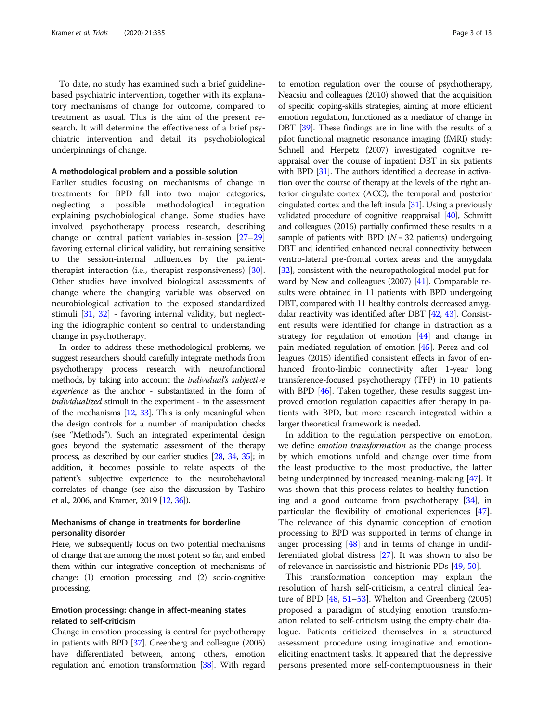To date, no study has examined such a brief guidelinebased psychiatric intervention, together with its explanatory mechanisms of change for outcome, compared to treatment as usual. This is the aim of the present research. It will determine the effectiveness of a brief psychiatric intervention and detail its psychobiological underpinnings of change.

#### A methodological problem and a possible solution

Earlier studies focusing on mechanisms of change in treatments for BPD fall into two major categories, neglecting a possible methodological integration explaining psychobiological change. Some studies have involved psychotherapy process research, describing change on central patient variables in-session [[27](#page-11-0)–[29](#page-11-0)] favoring external clinical validity, but remaining sensitive to the session-internal influences by the patienttherapist interaction (i.e., therapist responsiveness) [\[30](#page-11-0)]. Other studies have involved biological assessments of change where the changing variable was observed on neurobiological activation to the exposed standardized stimuli [[31,](#page-11-0) [32\]](#page-11-0) - favoring internal validity, but neglecting the idiographic content so central to understanding change in psychotherapy.

In order to address these methodological problems, we suggest researchers should carefully integrate methods from psychotherapy process research with neurofunctional methods, by taking into account the individual's subjective experience as the anchor - substantiated in the form of individualized stimuli in the experiment - in the assessment of the mechanisms [\[12,](#page-10-0) [33\]](#page-11-0). This is only meaningful when the design controls for a number of manipulation checks (see "Methods"). Such an integrated experimental design goes beyond the systematic assessment of the therapy process, as described by our earlier studies [\[28,](#page-11-0) [34,](#page-11-0) [35](#page-11-0)]; in addition, it becomes possible to relate aspects of the patient's subjective experience to the neurobehavioral correlates of change (see also the discussion by Tashiro et al., 2006, and Kramer, 2019 [[12,](#page-10-0) [36\]](#page-11-0)).

## Mechanisms of change in treatments for borderline personality disorder

Here, we subsequently focus on two potential mechanisms of change that are among the most potent so far, and embed them within our integrative conception of mechanisms of change: (1) emotion processing and (2) socio-cognitive processing.

## Emotion processing: change in affect-meaning states related to self-criticism

Change in emotion processing is central for psychotherapy in patients with BPD [\[37\]](#page-11-0). Greenberg and colleague (2006) have differentiated between, among others, emotion regulation and emotion transformation [\[38](#page-11-0)]. With regard

to emotion regulation over the course of psychotherapy, Neacsiu and colleagues (2010) showed that the acquisition of specific coping-skills strategies, aiming at more efficient emotion regulation, functioned as a mediator of change in DBT [[39\]](#page-11-0). These findings are in line with the results of a pilot functional magnetic resonance imaging (fMRI) study: Schnell and Herpetz (2007) investigated cognitive reappraisal over the course of inpatient DBT in six patients with BPD [\[31\]](#page-11-0). The authors identified a decrease in activation over the course of therapy at the levels of the right anterior cingulate cortex (ACC), the temporal and posterior cingulated cortex and the left insula  $[31]$  $[31]$  $[31]$ . Using a previously validated procedure of cognitive reappraisal [\[40\]](#page-11-0), Schmitt and colleagues (2016) partially confirmed these results in a sample of patients with BPD  $(N = 32$  patients) undergoing DBT and identified enhanced neural connectivity between ventro-lateral pre-frontal cortex areas and the amygdala [[32](#page-11-0)], consistent with the neuropathological model put forward by New and colleagues (2007) [[41](#page-11-0)]. Comparable results were obtained in 11 patients with BPD undergoing DBT, compared with 11 healthy controls: decreased amygdalar reactivity was identified after DBT [\[42](#page-11-0), [43\]](#page-11-0). Consistent results were identified for change in distraction as a strategy for regulation of emotion [[44](#page-11-0)] and change in pain-mediated regulation of emotion [\[45\]](#page-11-0). Perez and colleagues (2015) identified consistent effects in favor of enhanced fronto-limbic connectivity after 1-year long transference-focused psychotherapy (TFP) in 10 patients with BPD  $[46]$ . Taken together, these results suggest improved emotion regulation capacities after therapy in patients with BPD, but more research integrated within a larger theoretical framework is needed.

In addition to the regulation perspective on emotion, we define emotion transformation as the change process by which emotions unfold and change over time from the least productive to the most productive, the latter being underpinned by increased meaning-making [[47\]](#page-11-0). It was shown that this process relates to healthy functioning and a good outcome from psychotherapy [\[34](#page-11-0)], in particular the flexibility of emotional experiences [\[47](#page-11-0)]. The relevance of this dynamic conception of emotion processing to BPD was supported in terms of change in anger processing  $[48]$  $[48]$  $[48]$  and in terms of change in undifferentiated global distress [\[27](#page-11-0)]. It was shown to also be of relevance in narcissistic and histrionic PDs [\[49,](#page-11-0) [50\]](#page-11-0).

This transformation conception may explain the resolution of harsh self-criticism, a central clinical feature of BPD [\[48](#page-11-0), [51](#page-11-0)–[53\]](#page-11-0). Whelton and Greenberg (2005) proposed a paradigm of studying emotion transformation related to self-criticism using the empty-chair dialogue. Patients criticized themselves in a structured assessment procedure using imaginative and emotioneliciting enactment tasks. It appeared that the depressive persons presented more self-contemptuousness in their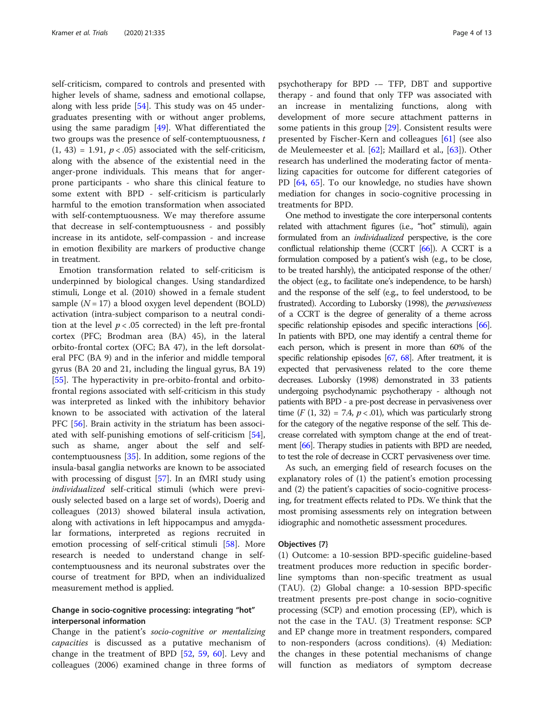self-criticism, compared to controls and presented with higher levels of shame, sadness and emotional collapse, along with less pride [\[54](#page-11-0)]. This study was on 45 undergraduates presenting with or without anger problems, using the same paradigm [[49\]](#page-11-0). What differentiated the two groups was the presence of self-contemptuousness,  $t$  $(1, 43) = 1.91, p < .05$  associated with the self-criticism, along with the absence of the existential need in the anger-prone individuals. This means that for angerprone participants - who share this clinical feature to some extent with BPD - self-criticism is particularly harmful to the emotion transformation when associated with self-contemptuousness. We may therefore assume that decrease in self-contemptuousness - and possibly increase in its antidote, self-compassion - and increase in emotion flexibility are markers of productive change in treatment.

Emotion transformation related to self-criticism is underpinned by biological changes. Using standardized stimuli, Longe et al. (2010) showed in a female student sample  $(N = 17)$  a blood oxygen level dependent (BOLD) activation (intra-subject comparison to a neutral condition at the level  $p < .05$  corrected) in the left pre-frontal cortex (PFC; Brodman area (BA) 45), in the lateral orbito-frontal cortex (OFC; BA 47), in the left dorsolateral PFC (BA 9) and in the inferior and middle temporal gyrus (BA 20 and 21, including the lingual gyrus, BA 19) [[55\]](#page-11-0). The hyperactivity in pre-orbito-frontal and orbitofrontal regions associated with self-criticism in this study was interpreted as linked with the inhibitory behavior known to be associated with activation of the lateral PFC [[56](#page-11-0)]. Brain activity in the striatum has been associated with self-punishing emotions of self-criticism [\[54](#page-11-0)], such as shame, anger about the self and selfcontemptuousness [\[35\]](#page-11-0). In addition, some regions of the insula-basal ganglia networks are known to be associated with processing of disgust [[57\]](#page-11-0). In an fMRI study using individualized self-critical stimuli (which were previously selected based on a large set of words), Doerig and colleagues (2013) showed bilateral insula activation, along with activations in left hippocampus and amygdalar formations, interpreted as regions recruited in emotion processing of self-critical stimuli [\[58](#page-11-0)]. More research is needed to understand change in selfcontemptuousness and its neuronal substrates over the course of treatment for BPD, when an individualized measurement method is applied.

## Change in socio-cognitive processing: integrating "hot" interpersonal information

Change in the patient's socio-cognitive or mentalizing capacities is discussed as a putative mechanism of change in the treatment of BPD [[52,](#page-11-0) [59,](#page-11-0) [60](#page-11-0)]. Levy and colleagues (2006) examined change in three forms of psychotherapy for BPD -– TFP, DBT and supportive therapy - and found that only TFP was associated with an increase in mentalizing functions, along with development of more secure attachment patterns in some patients in this group [\[29](#page-11-0)]. Consistent results were presented by Fischer-Kern and colleagues [\[61](#page-11-0)] (see also de Meulemeester et al. [\[62](#page-11-0)]; Maillard et al., [\[63](#page-11-0)]). Other research has underlined the moderating factor of mentalizing capacities for outcome for different categories of PD [[64](#page-11-0), [65](#page-11-0)]. To our knowledge, no studies have shown mediation for changes in socio-cognitive processing in treatments for BPD.

One method to investigate the core interpersonal contents related with attachment figures (i.e., "hot" stimuli), again formulated from an *individualized* perspective, is the core conflictual relationship theme (CCRT [[66\]](#page-11-0)). A CCRT is a formulation composed by a patient's wish (e.g., to be close, to be treated harshly), the anticipated response of the other/ the object (e.g., to facilitate one's independence, to be harsh) and the response of the self (e.g., to feel understood, to be frustrated). According to Luborsky (1998), the *pervasiveness* of a CCRT is the degree of generality of a theme across specific relationship episodes and specific interactions [\[66\]](#page-11-0). In patients with BPD, one may identify a central theme for each person, which is present in more than 60% of the specific relationship episodes [\[67](#page-11-0), [68](#page-11-0)]. After treatment, it is expected that pervasiveness related to the core theme decreases. Luborsky (1998) demonstrated in 33 patients undergoing psychodynamic psychotherapy - although not patients with BPD - a pre-post decrease in pervasiveness over time (F (1, 32) = 7.4,  $p < .01$ ), which was particularly strong for the category of the negative response of the self. This decrease correlated with symptom change at the end of treatment [[66\]](#page-11-0). Therapy studies in patients with BPD are needed, to test the role of decrease in CCRT pervasiveness over time.

As such, an emerging field of research focuses on the explanatory roles of (1) the patient's emotion processing and (2) the patient's capacities of socio-cognitive processing, for treatment effects related to PDs. We think that the most promising assessments rely on integration between idiographic and nomothetic assessment procedures.

## Objectives {7}

(1) Outcome: a 10-session BPD-specific guideline-based treatment produces more reduction in specific borderline symptoms than non-specific treatment as usual (TAU). (2) Global change: a 10-session BPD-specific treatment presents pre-post change in socio-cognitive processing (SCP) and emotion processing (EP), which is not the case in the TAU. (3) Treatment response: SCP and EP change more in treatment responders, compared to non-responders (across conditions). (4) Mediation: the changes in these potential mechanisms of change will function as mediators of symptom decrease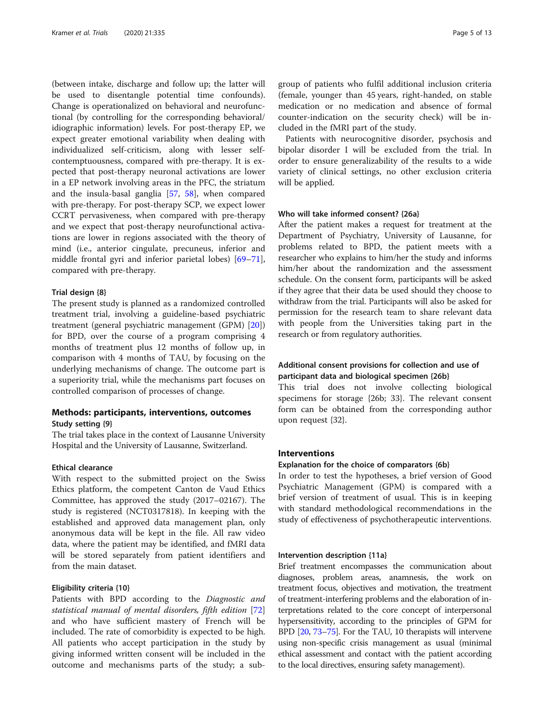(between intake, discharge and follow up; the latter will be used to disentangle potential time confounds). Change is operationalized on behavioral and neurofunctional (by controlling for the corresponding behavioral/ idiographic information) levels. For post-therapy EP, we expect greater emotional variability when dealing with individualized self-criticism, along with lesser selfcontemptuousness, compared with pre-therapy. It is expected that post-therapy neuronal activations are lower in a EP network involving areas in the PFC, the striatum and the insula-basal ganglia [\[57](#page-11-0), [58](#page-11-0)], when compared with pre-therapy. For post-therapy SCP, we expect lower CCRT pervasiveness, when compared with pre-therapy and we expect that post-therapy neurofunctional activations are lower in regions associated with the theory of mind (i.e., anterior cingulate, precuneus, inferior and middle frontal gyri and inferior parietal lobes) [[69](#page-11-0)–[71](#page-11-0)], compared with pre-therapy.

#### Trial design {8}

The present study is planned as a randomized controlled treatment trial, involving a guideline-based psychiatric treatment (general psychiatric management (GPM) [\[20](#page-10-0)]) for BPD, over the course of a program comprising 4 months of treatment plus 12 months of follow up, in comparison with 4 months of TAU, by focusing on the underlying mechanisms of change. The outcome part is a superiority trial, while the mechanisms part focuses on controlled comparison of processes of change.

## Methods: participants, interventions, outcomes Study setting {9}

The trial takes place in the context of Lausanne University Hospital and the University of Lausanne, Switzerland.

## Ethical clearance

With respect to the submitted project on the Swiss Ethics platform, the competent Canton de Vaud Ethics Committee, has approved the study (2017–02167). The study is registered (NCT0317818). In keeping with the established and approved data management plan, only anonymous data will be kept in the file. All raw video data, where the patient may be identified, and fMRI data will be stored separately from patient identifiers and from the main dataset.

#### Eligibility criteria {10}

Patients with BPD according to the Diagnostic and statistical manual of mental disorders, fifth edition [[72](#page-11-0)] and who have sufficient mastery of French will be included. The rate of comorbidity is expected to be high. All patients who accept participation in the study by giving informed written consent will be included in the outcome and mechanisms parts of the study; a subgroup of patients who fulfil additional inclusion criteria (female, younger than 45 years, right-handed, on stable medication or no medication and absence of formal counter-indication on the security check) will be included in the fMRI part of the study.

Patients with neurocognitive disorder, psychosis and bipolar disorder I will be excluded from the trial. In order to ensure generalizability of the results to a wide variety of clinical settings, no other exclusion criteria will be applied.

## Who will take informed consent? {26a}

After the patient makes a request for treatment at the Department of Psychiatry, University of Lausanne, for problems related to BPD, the patient meets with a researcher who explains to him/her the study and informs him/her about the randomization and the assessment schedule. On the consent form, participants will be asked if they agree that their data be used should they choose to withdraw from the trial. Participants will also be asked for permission for the research team to share relevant data with people from the Universities taking part in the research or from regulatory authorities.

## Additional consent provisions for collection and use of participant data and biological specimen {26b}

This trial does not involve collecting biological specimens for storage {26b; 33}. The relevant consent form can be obtained from the corresponding author upon request {32}.

## Interventions

#### Explanation for the choice of comparators {6b}

In order to test the hypotheses, a brief version of Good Psychiatric Management (GPM) is compared with a brief version of treatment of usual. This is in keeping with standard methodological recommendations in the study of effectiveness of psychotherapeutic interventions.

#### Intervention description {11a}

Brief treatment encompasses the communication about diagnoses, problem areas, anamnesis, the work on treatment focus, objectives and motivation, the treatment of treatment-interfering problems and the elaboration of interpretations related to the core concept of interpersonal hypersensitivity, according to the principles of GPM for BPD [[20](#page-10-0), [73](#page-12-0)–[75\]](#page-12-0). For the TAU, 10 therapists will intervene using non-specific crisis management as usual (minimal ethical assessment and contact with the patient according to the local directives, ensuring safety management).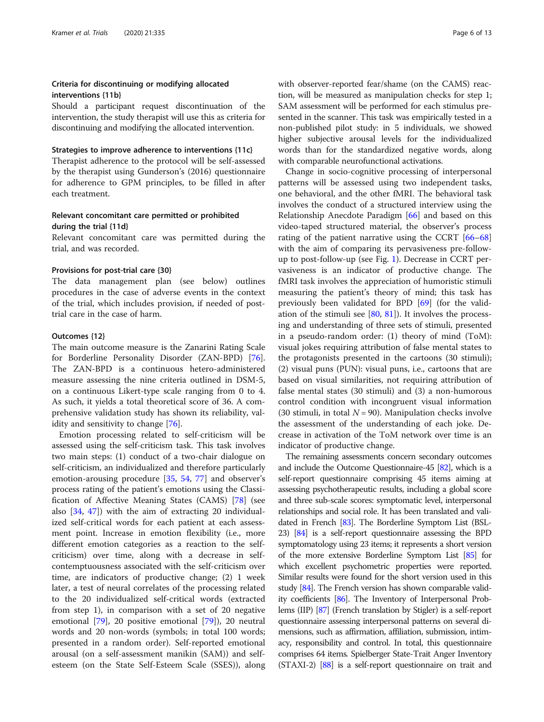## Criteria for discontinuing or modifying allocated interventions {11b}

Should a participant request discontinuation of the intervention, the study therapist will use this as criteria for discontinuing and modifying the allocated intervention.

#### Strategies to improve adherence to interventions {11c}

Therapist adherence to the protocol will be self-assessed by the therapist using Gunderson's (2016) questionnaire for adherence to GPM principles, to be filled in after each treatment.

## Relevant concomitant care permitted or prohibited during the trial {11d}

Relevant concomitant care was permitted during the trial, and was recorded.

#### Provisions for post-trial care {30}

The data management plan (see below) outlines procedures in the case of adverse events in the context of the trial, which includes provision, if needed of posttrial care in the case of harm.

#### Outcomes {12}

The main outcome measure is the Zanarini Rating Scale for Borderline Personality Disorder (ZAN-BPD) [\[76](#page-12-0)]. The ZAN-BPD is a continuous hetero-administered measure assessing the nine criteria outlined in DSM-5, on a continuous Likert-type scale ranging from 0 to 4. As such, it yields a total theoretical score of 36. A comprehensive validation study has shown its reliability, validity and sensitivity to change [[76\]](#page-12-0).

Emotion processing related to self-criticism will be assessed using the self-criticism task. This task involves two main steps: (1) conduct of a two-chair dialogue on self-criticism, an individualized and therefore particularly emotion-arousing procedure [[35,](#page-11-0) [54,](#page-11-0) [77\]](#page-12-0) and observer's process rating of the patient's emotions using the Classification of Affective Meaning States (CAMS) [\[78\]](#page-12-0) (see also [[34,](#page-11-0) [47](#page-11-0)]) with the aim of extracting 20 individualized self-critical words for each patient at each assessment point. Increase in emotion flexibility (i.e., more different emotion categories as a reaction to the selfcriticism) over time, along with a decrease in selfcontemptuousness associated with the self-criticism over time, are indicators of productive change; (2) 1 week later, a test of neural correlates of the processing related to the 20 individualized self-critical words (extracted from step 1), in comparison with a set of 20 negative emotional [\[79](#page-12-0)], 20 positive emotional [\[79](#page-12-0)]), 20 neutral words and 20 non-words (symbols; in total 100 words; presented in a random order). Self-reported emotional arousal (on a self-assessment manikin (SAM)) and selfesteem (on the State Self-Esteem Scale (SSES)), along with observer-reported fear/shame (on the CAMS) reaction, will be measured as manipulation checks for step 1; SAM assessment will be performed for each stimulus presented in the scanner. This task was empirically tested in a non-published pilot study: in 5 individuals, we showed higher subjective arousal levels for the individualized words than for the standardized negative words, along with comparable neurofunctional activations.

Change in socio-cognitive processing of interpersonal patterns will be assessed using two independent tasks, one behavioral, and the other fMRI. The behavioral task involves the conduct of a structured interview using the Relationship Anecdote Paradigm [\[66](#page-11-0)] and based on this video-taped structured material, the observer's process rating of the patient narrative using the CCRT [[66](#page-11-0)–[68](#page-11-0)] with the aim of comparing its pervasiveness pre-followup to post-follow-up (see Fig. [1\)](#page-6-0). Decrease in CCRT pervasiveness is an indicator of productive change. The fMRI task involves the appreciation of humoristic stimuli measuring the patient's theory of mind; this task has previously been validated for BPD [\[69\]](#page-11-0) (for the validation of the stimuli see [\[80,](#page-12-0) [81](#page-12-0)]). It involves the processing and understanding of three sets of stimuli, presented in a pseudo-random order: (1) theory of mind (ToM): visual jokes requiring attribution of false mental states to the protagonists presented in the cartoons (30 stimuli); (2) visual puns (PUN): visual puns, i.e., cartoons that are based on visual similarities, not requiring attribution of false mental states (30 stimuli) and (3) a non-humorous control condition with incongruent visual information (30 stimuli, in total  $N = 90$ ). Manipulation checks involve the assessment of the understanding of each joke. Decrease in activation of the ToM network over time is an indicator of productive change.

The remaining assessments concern secondary outcomes and include the Outcome Questionnaire-45 [[82\]](#page-12-0), which is a self-report questionnaire comprising 45 items aiming at assessing psychotherapeutic results, including a global score and three sub-scale scores: symptomatic level, interpersonal relationships and social role. It has been translated and validated in French [\[83](#page-12-0)]. The Borderline Symptom List (BSL-23) [\[84](#page-12-0)] is a self-report questionnaire assessing the BPD symptomatology using 23 items; it represents a short version of the more extensive Borderline Symptom List [\[85](#page-12-0)] for which excellent psychometric properties were reported. Similar results were found for the short version used in this study [\[84](#page-12-0)]. The French version has shown comparable validity coefficients [\[86](#page-12-0)]. The Inventory of Interpersonal Problems (IIP) [[87\]](#page-12-0) (French translation by Stigler) is a self-report questionnaire assessing interpersonal patterns on several dimensions, such as affirmation, affiliation, submission, intimacy, responsibility and control. In total, this questionnaire comprises 64 items. Spielberger State-Trait Anger Inventory (STAXI-2) [\[88](#page-12-0)] is a self-report questionnaire on trait and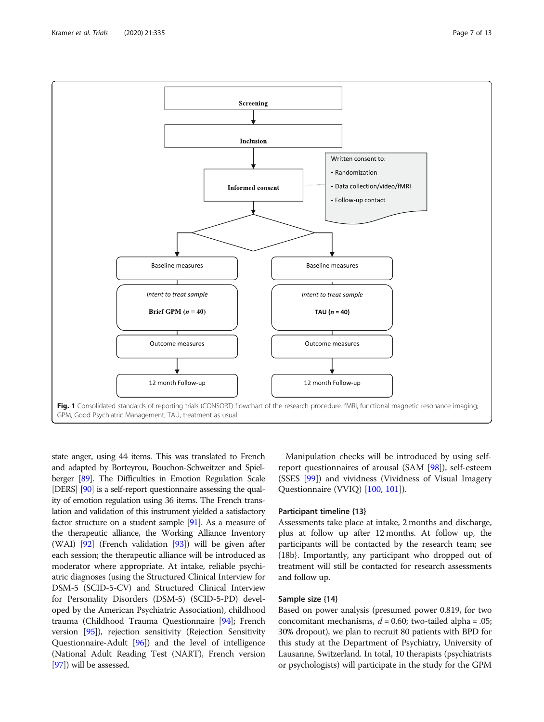<span id="page-6-0"></span>

state anger, using 44 items. This was translated to French and adapted by Borteyrou, Bouchon-Schweitzer and Spielberger [\[89](#page-12-0)]. The Difficulties in Emotion Regulation Scale [DERS] [\[90](#page-12-0)] is a self-report questionnaire assessing the quality of emotion regulation using 36 items. The French translation and validation of this instrument yielded a satisfactory factor structure on a student sample [[91\]](#page-12-0). As a measure of the therapeutic alliance, the Working Alliance Inventory (WAI) [[92\]](#page-12-0) (French validation [[93](#page-12-0)]) will be given after each session; the therapeutic alliance will be introduced as moderator where appropriate. At intake, reliable psychiatric diagnoses (using the Structured Clinical Interview for DSM-5 (SCID-5-CV) and Structured Clinical Interview for Personality Disorders (DSM-5) (SCID-5-PD) developed by the American Psychiatric Association), childhood trauma (Childhood Trauma Questionnaire [[94](#page-12-0)]; French version [\[95](#page-12-0)]), rejection sensitivity (Rejection Sensitivity Questionnaire-Adult [\[96\]](#page-12-0)) and the level of intelligence (National Adult Reading Test (NART), French version [[97](#page-12-0)]) will be assessed.

Manipulation checks will be introduced by using selfreport questionnaires of arousal (SAM [\[98](#page-12-0)]), self-esteem (SSES [[99\]](#page-12-0)) and vividness (Vividness of Visual Imagery Questionnaire (VVIQ) [\[100](#page-12-0), [101\]](#page-12-0)).

#### Participant timeline {13}

Assessments take place at intake, 2 months and discharge, plus at follow up after 12 months. At follow up, the participants will be contacted by the research team; see {18b}. Importantly, any participant who dropped out of treatment will still be contacted for research assessments and follow up.

#### Sample size {14}

Based on power analysis (presumed power 0.819, for two concomitant mechanisms,  $d = 0.60$ ; two-tailed alpha = .05; 30% dropout), we plan to recruit 80 patients with BPD for this study at the Department of Psychiatry, University of Lausanne, Switzerland. In total, 10 therapists (psychiatrists or psychologists) will participate in the study for the GPM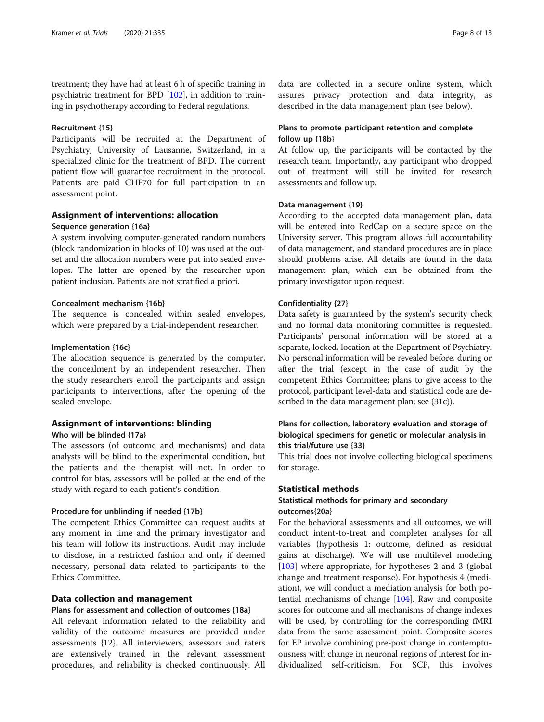treatment; they have had at least 6 h of specific training in psychiatric treatment for BPD [[102](#page-12-0)], in addition to training in psychotherapy according to Federal regulations.

#### Recruitment {15}

Participants will be recruited at the Department of Psychiatry, University of Lausanne, Switzerland, in a specialized clinic for the treatment of BPD. The current patient flow will guarantee recruitment in the protocol. Patients are paid CHF70 for full participation in an assessment point.

## Assignment of interventions: allocation Sequence generation {16a}

A system involving computer-generated random numbers (block randomization in blocks of 10) was used at the outset and the allocation numbers were put into sealed envelopes. The latter are opened by the researcher upon patient inclusion. Patients are not stratified a priori.

#### Concealment mechanism {16b}

The sequence is concealed within sealed envelopes, which were prepared by a trial-independent researcher.

#### Implementation {16c}

The allocation sequence is generated by the computer, the concealment by an independent researcher. Then the study researchers enroll the participants and assign participants to interventions, after the opening of the sealed envelope.

## Assignment of interventions: blinding

## Who will be blinded {17a}

The assessors (of outcome and mechanisms) and data analysts will be blind to the experimental condition, but the patients and the therapist will not. In order to control for bias, assessors will be polled at the end of the study with regard to each patient's condition.

#### Procedure for unblinding if needed {17b}

The competent Ethics Committee can request audits at any moment in time and the primary investigator and his team will follow its instructions. Audit may include to disclose, in a restricted fashion and only if deemed necessary, personal data related to participants to the Ethics Committee.

#### Data collection and management

#### Plans for assessment and collection of outcomes {18a}

All relevant information related to the reliability and validity of the outcome measures are provided under assessments {12}. All interviewers, assessors and raters are extensively trained in the relevant assessment procedures, and reliability is checked continuously. All

data are collected in a secure online system, which assures privacy protection and data integrity, as described in the data management plan (see below).

## Plans to promote participant retention and complete follow up {18b}

At follow up, the participants will be contacted by the research team. Importantly, any participant who dropped out of treatment will still be invited for research assessments and follow up.

#### Data management {19}

According to the accepted data management plan, data will be entered into RedCap on a secure space on the University server. This program allows full accountability of data management, and standard procedures are in place should problems arise. All details are found in the data management plan, which can be obtained from the primary investigator upon request.

#### Confidentiality {27}

Data safety is guaranteed by the system's security check and no formal data monitoring committee is requested. Participants' personal information will be stored at a separate, locked, location at the Department of Psychiatry. No personal information will be revealed before, during or after the trial (except in the case of audit by the competent Ethics Committee; plans to give access to the protocol, participant level-data and statistical code are described in the data management plan; see {31c}).

## Plans for collection, laboratory evaluation and storage of biological specimens for genetic or molecular analysis in this trial/future use {33}

This trial does not involve collecting biological specimens for storage.

#### Statistical methods

## Statistical methods for primary and secondary outcomes{20a}

For the behavioral assessments and all outcomes, we will conduct intent-to-treat and completer analyses for all variables (hypothesis 1: outcome, defined as residual gains at discharge). We will use multilevel modeling [[103\]](#page-12-0) where appropriate, for hypotheses 2 and 3 (global change and treatment response). For hypothesis 4 (mediation), we will conduct a mediation analysis for both potential mechanisms of change [\[104\]](#page-12-0). Raw and composite scores for outcome and all mechanisms of change indexes will be used, by controlling for the corresponding fMRI data from the same assessment point. Composite scores for EP involve combining pre-post change in contemptuousness with change in neuronal regions of interest for individualized self-criticism. For SCP, this involves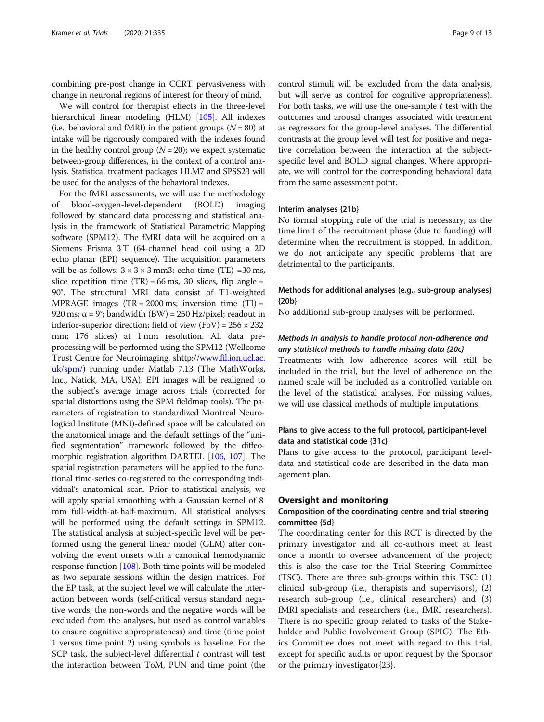combining pre-post change in CCRT pervasiveness with change in neuronal regions of interest for theory of mind.

We will control for therapist effects in the three-level hierarchical linear modeling (HLM) [[105](#page-12-0)]. All indexes (i.e., behavioral and fMRI) in the patient groups ( $N = 80$ ) at intake will be rigorously compared with the indexes found in the healthy control group  $(N = 20)$ ; we expect systematic between-group differences, in the context of a control analysis. Statistical treatment packages HLM7 and SPSS23 will be used for the analyses of the behavioral indexes.

For the fMRI assessments, we will use the methodology of blood-oxygen-level-dependent (BOLD) imaging followed by standard data processing and statistical analysis in the framework of Statistical Parametric Mapping software (SPM12). The fMRI data will be acquired on a Siemens Prisma 3 T (64-channel head coil using a 2D echo planar (EPI) sequence). The acquisition parameters will be as follows:  $3 \times 3 \times 3$  mm3: echo time (TE) = 30 ms, slice repetition time  $(TR) = 66$  ms, 30 slices, flip angle = 90°. The structural MRI data consist of T1-weighted MPRAGE images  $(TR = 2000 \text{ ms};$  inversion time  $(TI) =$ 920 ms;  $\alpha = 9^\circ$ ; bandwidth (BW) = 250 Hz/pixel; readout in inferior-superior direction; field of view  $(FoV) = 256 \times 232$ mm; 176 slices) at 1 mm resolution. All data preprocessing will be performed using the SPM12 (Wellcome Trust Centre for Neuroimaging, shttp://[www.fil.ion.ucl.ac.](http://www.fil.ion.ucl.ac.uk/spm/) [uk/spm/\)](http://www.fil.ion.ucl.ac.uk/spm/) running under Matlab 7.13 (The MathWorks, Inc., Natick, MA, USA). EPI images will be realigned to the subject's average image across trials (corrected for spatial distortions using the SPM fieldmap tools). The parameters of registration to standardized Montreal Neurological Institute (MNI)-defined space will be calculated on the anatomical image and the default settings of the "unified segmentation" framework followed by the diffeomorphic registration algorithm DARTEL [[106](#page-12-0), [107](#page-12-0)]. The spatial registration parameters will be applied to the functional time-series co-registered to the corresponding individual's anatomical scan. Prior to statistical analysis, we will apply spatial smoothing with a Gaussian kernel of 8 mm full-width-at-half-maximum. All statistical analyses will be performed using the default settings in SPM12. The statistical analysis at subject-specific level will be performed using the general linear model (GLM) after convolving the event onsets with a canonical hemodynamic response function [\[108\]](#page-12-0). Both time points will be modeled as two separate sessions within the design matrices. For the EP task, at the subject level we will calculate the interaction between words (self-critical versus standard negative words; the non-words and the negative words will be excluded from the analyses, but used as control variables to ensure cognitive appropriateness) and time (time point 1 versus time point 2) using symbols as baseline. For the SCP task, the subject-level differential  $t$  contrast will test the interaction between ToM, PUN and time point (the control stimuli will be excluded from the data analysis, but will serve as control for cognitive appropriateness). For both tasks, we will use the one-sample  $t$  test with the outcomes and arousal changes associated with treatment as regressors for the group-level analyses. The differential contrasts at the group level will test for positive and negative correlation between the interaction at the subjectspecific level and BOLD signal changes. Where appropriate, we will control for the corresponding behavioral data from the same assessment point.

#### Interim analyses {21b}

No formal stopping rule of the trial is necessary, as the time limit of the recruitment phase (due to funding) will determine when the recruitment is stopped. In addition, we do not anticipate any specific problems that are detrimental to the participants.

#### Methods for additional analyses (e.g., sub-group analyses) {20b}

No additional sub-group analyses will be performed.

## Methods in analysis to handle protocol non-adherence and any statistical methods to handle missing data {20c}

Treatments with low adherence scores will still be included in the trial, but the level of adherence on the named scale will be included as a controlled variable on the level of the statistical analyses. For missing values, we will use classical methods of multiple imputations.

## Plans to give access to the full protocol, participant-level data and statistical code {31c}

Plans to give access to the protocol, participant leveldata and statistical code are described in the data management plan.

#### Oversight and monitoring

## Composition of the coordinating centre and trial steering committee {5d}

The coordinating center for this RCT is directed by the primary investigator and all co-authors meet at least once a month to oversee advancement of the project; this is also the case for the Trial Steering Committee (TSC). There are three sub-groups within this TSC: (1) clinical sub-group (i.e., therapists and supervisors), (2) research sub-group (i.e., clinical researchers) and (3) fMRI specialists and researchers (i.e., fMRI researchers). There is no specific group related to tasks of the Stakeholder and Public Involvement Group (SPIG). The Ethics Committee does not meet with regard to this trial, except for specific audits or upon request by the Sponsor or the primary investigator{23}.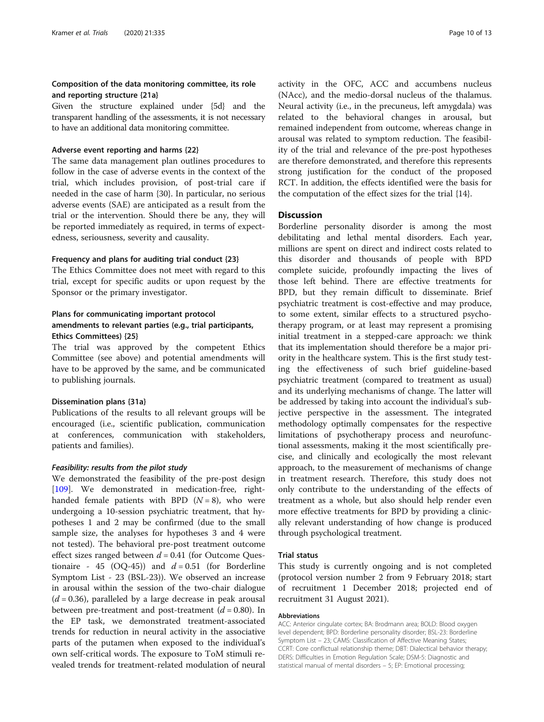## Composition of the data monitoring committee, its role and reporting structure {21a}

Given the structure explained under {5d} and the transparent handling of the assessments, it is not necessary to have an additional data monitoring committee.

#### Adverse event reporting and harms {22}

The same data management plan outlines procedures to follow in the case of adverse events in the context of the trial, which includes provision, of post-trial care if needed in the case of harm {30}. In particular, no serious adverse events (SAE) are anticipated as a result from the trial or the intervention. Should there be any, they will be reported immediately as required, in terms of expectedness, seriousness, severity and causality.

#### Frequency and plans for auditing trial conduct {23}

The Ethics Committee does not meet with regard to this trial, except for specific audits or upon request by the Sponsor or the primary investigator.

## Plans for communicating important protocol amendments to relevant parties (e.g., trial participants, Ethics Committees) {25}

The trial was approved by the competent Ethics Committee (see above) and potential amendments will have to be approved by the same, and be communicated to publishing journals.

#### Dissemination plans {31a}

Publications of the results to all relevant groups will be encouraged (i.e., scientific publication, communication at conferences, communication with stakeholders, patients and families).

#### Feasibility: results from the pilot study

We demonstrated the feasibility of the pre-post design [[109\]](#page-12-0). We demonstrated in medication-free, righthanded female patients with BPD  $(N = 8)$ , who were undergoing a 10-session psychiatric treatment, that hypotheses 1 and 2 may be confirmed (due to the small sample size, the analyses for hypotheses 3 and 4 were not tested). The behavioral pre-post treatment outcome effect sizes ranged between  $d = 0.41$  (for Outcome Questionaire - 45 (OQ-45)) and  $d = 0.51$  (for Borderline Symptom List - 23 (BSL-23)). We observed an increase in arousal within the session of the two-chair dialogue  $(d = 0.36)$ , paralleled by a large decrease in peak arousal between pre-treatment and post-treatment  $(d = 0.80)$ . In the EP task, we demonstrated treatment-associated trends for reduction in neural activity in the associative parts of the putamen when exposed to the individual's own self-critical words. The exposure to ToM stimuli revealed trends for treatment-related modulation of neural

activity in the OFC, ACC and accumbens nucleus (NAcc), and the medio-dorsal nucleus of the thalamus. Neural activity (i.e., in the precuneus, left amygdala) was related to the behavioral changes in arousal, but remained independent from outcome, whereas change in arousal was related to symptom reduction. The feasibility of the trial and relevance of the pre-post hypotheses are therefore demonstrated, and therefore this represents strong justification for the conduct of the proposed RCT. In addition, the effects identified were the basis for the computation of the effect sizes for the trial {14}.

## **Discussion**

Borderline personality disorder is among the most debilitating and lethal mental disorders. Each year, millions are spent on direct and indirect costs related to this disorder and thousands of people with BPD complete suicide, profoundly impacting the lives of those left behind. There are effective treatments for BPD, but they remain difficult to disseminate. Brief psychiatric treatment is cost-effective and may produce, to some extent, similar effects to a structured psychotherapy program, or at least may represent a promising initial treatment in a stepped-care approach: we think that its implementation should therefore be a major priority in the healthcare system. This is the first study testing the effectiveness of such brief guideline-based psychiatric treatment (compared to treatment as usual) and its underlying mechanisms of change. The latter will be addressed by taking into account the individual's subjective perspective in the assessment. The integrated methodology optimally compensates for the respective limitations of psychotherapy process and neurofunctional assessments, making it the most scientifically precise, and clinically and ecologically the most relevant approach, to the measurement of mechanisms of change in treatment research. Therefore, this study does not only contribute to the understanding of the effects of treatment as a whole, but also should help render even more effective treatments for BPD by providing a clinically relevant understanding of how change is produced through psychological treatment.

#### Trial status

This study is currently ongoing and is not completed (protocol version number 2 from 9 February 2018; start of recruitment 1 December 2018; projected end of recruitment 31 August 2021).

#### Abbreviations

ACC: Anterior cingulate cortex; BA: Brodmann area; BOLD: Blood oxygen level dependent; BPD: Borderline personality disorder; BSL-23: Borderline Symptom List – 23; CAMS: Classification of Affective Meaning States; CCRT: Core conflictual relationship theme; DBT: Dialectical behavior therapy; DERS: Difficulties in Emotion Regulation Scale; DSM-5: Diagnostic and statistical manual of mental disorders – 5; EP: Emotional processing;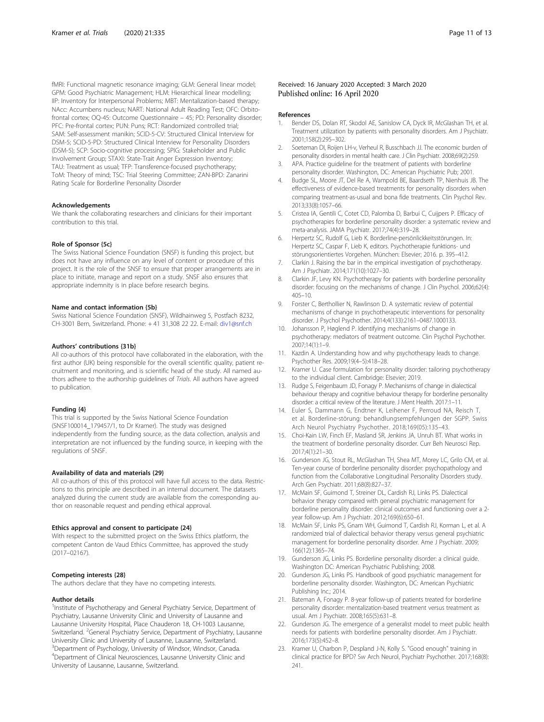<span id="page-10-0"></span>fMRI: Functional magnetic resonance imaging; GLM: General linear model; GPM: Good Psychiatric Management; HLM: Hierarchical linear modelling; IIP: Inventory for Interpersonal Problems; MBT: Mentalization-based therapy; NAcc: Accumbens nucleus; NART: National Adult Reading Test; OFC: Orbitofrontal cortex; OQ-45: Outcome Questionnaire – 45; PD: Personality disorder; PFC: Pre-frontal cortex; PUN: Puns; RCT: Randomized controlled trial; SAM: Self-assessment manikin; SCID-5-CV: Structured Clinical Interview for DSM-5; SCID-5-PD: Structured Clinical Interview for Personality Disorders (DSM-5); SCP: Socio-cognitive processing; SPIG: Stakeholder and Public Involvement Group; STAXI: State-Trait Anger Expression Inventory; TAU: Treatment as usual; TFP: Transference-focused psychotherapy; ToM: Theory of mind; TSC: Trial Steering Committee; ZAN-BPD: Zanarini Rating Scale for Borderline Personality Disorder

#### Acknowledgements

We thank the collaborating researchers and clinicians for their important contribution to this trial.

#### Role of Sponsor {5c}

The Swiss National Science Foundation (SNSF) is funding this project, but does not have any influence on any level of content or procedure of this project. It is the role of the SNSF to ensure that proper arrangements are in place to initiate, manage and report on a study. SNSF also ensures that appropriate indemnity is in place before research begins.

#### Name and contact information {5b}

Swiss National Science Foundation (SNSF), Wildhainweg 5, Postfach 8232, CH-3001 Bern, Switzerland. Phone: + 41 31,308 22 22. E-mail: [div1@snf.ch](mailto:div1@snf.ch)

#### Authors' contributions {31b}

All co-authors of this protocol have collaborated in the elaboration, with the first author (UK) being responsible for the overall scientific quality, patient recruitment and monitoring, and is scientific head of the study. All named authors adhere to the authorship guidelines of Trials. All authors have agreed to publication.

#### Funding {4}

This trial is supported by the Swiss National Science Foundation (SNSF100014\_179457/1, to Dr Kramer). The study was designed independently from the funding source, as the data collection, analysis and interpretation are not influenced by the funding source, in keeping with the regulations of SNSF.

#### Availability of data and materials {29}

All co-authors of this of this protocol will have full access to the data. Restrictions to this principle are described in an internal document. The datasets analyzed during the current study are available from the corresponding author on reasonable request and pending ethical approval.

#### Ethics approval and consent to participate {24}

With respect to the submitted project on the Swiss Ethics platform, the competent Canton de Vaud Ethics Committee, has approved the study (2017–02167).

#### Competing interests {28}

The authors declare that they have no competing interests.

#### Author details

<sup>1</sup>Institute of Psychotherapy and General Psychiatry Service, Department of Psychiatry, Lausanne University Clinic and University of Lausanne and Lausanne University Hospital, Place Chauderon 18, CH-1003 Lausanne, Switzerland. <sup>2</sup>General Psychiatry Service, Department of Psychiatry, Lausanne University Clinic and University of Lausanne, Lausanne, Switzerland. <sup>3</sup>Department of Psychology, University of Windsor, Windsor, Canada. 4 Department of Clinical Neurosciences, Lausanne University Clinic and University of Lausanne, Lausanne, Switzerland.

#### Received: 16 January 2020 Accepted: 3 March 2020 Published online: 16 April 2020

#### References

- 1. Bender DS, Dolan RT, Skodol AE, Sanislow CA, Dyck IR, McGlashan TH, et al. Treatment utilization by patients with personality disorders. Am J Psychiatr. 2001;158(2):295–302.
- 2. Soeteman DI, Roijen LH-v, Verheul R, Busschbach JJ. The economic burden of personality disorders in mental health care. J Clin Psychiatr. 2008;69(2):259.
- 3. APA. Practice guideline for the treatment of patients with borderline personality disorder. Washington, DC: American Psychiatric Pub; 2001.
- 4. Budge SL, Moore JT, Del Re A, Wampold BE, Baardseth TP, Nienhuis JB. The effectiveness of evidence-based treatments for personality disorders when comparing treatment-as-usual and bona fide treatments. Clin Psychol Rev. 2013;33(8):1057–66.
- 5. Cristea IA, Gentili C, Cotet CD, Palomba D, Barbui C, Cuijpers P. Efficacy of psychotherapies for borderline personality disorder: a systematic review and meta-analysis. JAMA Psychiatr. 2017;74(4):319–28.
- 6. Herpertz SC, Rudolf G, Lieb K. Borderline-persönlickkeitsstörungen. In: Herpertz SC, Caspar F, Lieb K, editors. Psychotherapie funktions- und störungsorientiertes Vorgehen. München: Elsevier; 2016. p. 395–412.
- 7. Clarkin J. Raising the bar in the empirical investigation of psychotherapy. Am J Psychiatr. 2014;171(10):1027–30.
- Clarkin JF, Levy KN. Psychotherapy for patients with borderline personality disorder: focusing on the mechanisms of change. J Clin Psychol. 2006;62(4): 405–10.
- 9. Forster C, Berthollier N, Rawlinson D. A systematic review of potential mechanisms of change in psychotherapeutic interventions for personality disorder. J Psychol Psychother. 2014;4(133):2161–0487.1000133.
- 10. Johansson P, Høglend P. Identifying mechanisms of change in psychotherapy: mediators of treatment outcome. Clin Psychol Psychother. 2007;14(1):1–9.
- 11. Kazdin A. Understanding how and why psychotherapy leads to change. Psychother Res. 2009;19(4–5):418–28.
- 12. Kramer U. Case formulation for personality disorder: tailoring psychotherapy to the individual client. Cambridge: Elsevier; 2019.
- 13. Rudge S, Feigenbaum JD, Fonagy P. Mechanisms of change in dialectical behaviour therapy and cognitive behaviour therapy for borderline personality disorder: a critical review of the literature. J Ment Health. 2017:1–11.
- 14. Euler S, Dammann G, Endtner K, Leihener F, Perroud NA, Reisch T, et al. Borderline-störung: behandlungsempfehlungen der SGPP. Swiss Arch Neurol Psychiatry Psychother. 2018;169(05):135–43.
- 15. Choi-Kain LW, Finch EF, Masland SR, Jenkins JA, Unruh BT. What works in the treatment of borderline personality disorder. Curr Beh Neurosci Rep. 2017;4(1):21–30.
- 16. Gunderson JG, Stout RL, McGlashan TH, Shea MT, Morey LC, Grilo CM, et al. Ten-year course of borderline personality disorder: psychopathology and function from the Collaborative Longitudinal Personality Disorders study. Arch Gen Psychiatr. 2011;68(8):827–37.
- 17. McMain SF, Guimond T, Streiner DL, Cardish RJ, Links PS. Dialectical behavior therapy compared with general psychiatric management for borderline personality disorder: clinical outcomes and functioning over a 2 year follow-up. Am J Psychiatr. 2012;169(6):650–61.
- 18. McMain SF, Links PS, Gnam WH, Guimond T, Cardish RJ, Korman L, et al. A randomized trial of dialectical behavior therapy versus general psychiatric management for borderline personality disorder. Ame J Psychiatr. 2009; 166(12):1365–74.
- 19. Gunderson JG, Links PS. Borderline personality disorder: a clinical guide. Washington DC: American Psychiatric Publishing; 2008.
- 20. Gunderson JG, Links PS. Handbook of good psychiatric management for borderline personality disorder. Washington, DC: American Psychiatric Publishing Inc.; 2014.
- 21. Bateman A, Fonagy P. 8-year follow-up of patients treated for borderline personality disorder: mentalization-based treatment versus treatment as usual. Am J Psychiatr. 2008;165(5):631–8.
- 22. Gunderson JG. The emergence of a generalist model to meet public health needs for patients with borderline personality disorder. Am J Psychiatr. 2016;173(5):452–8.
- 23. Kramer U, Charbon P, Despland J-N, Kolly S. "Good enough" training in clinical practice for BPD? Sw Arch Neurol, Psychiatr Psychother. 2017;168(8): 241.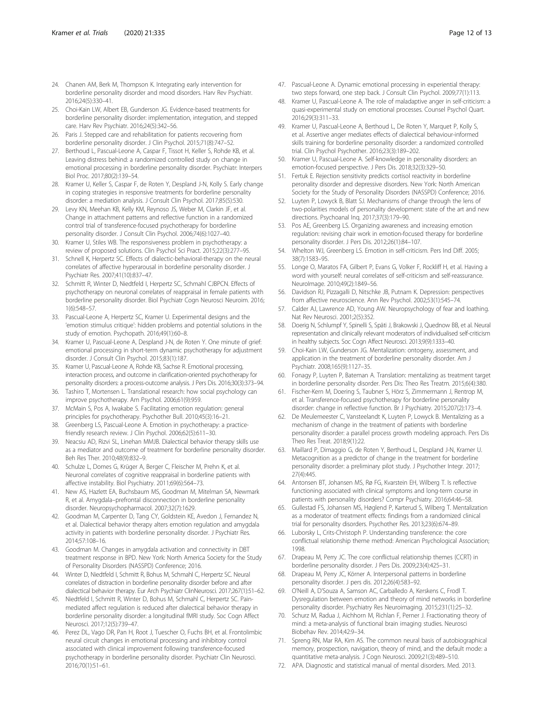- <span id="page-11-0"></span>24. Chanen AM, Berk M, Thompson K. Integrating early intervention for borderline personality disorder and mood disorders. Harv Rev Psychiatr. 2016;24(5):330–41.
- 25. Choi-Kain LW, Albert EB, Gunderson JG. Evidence-based treatments for borderline personality disorder: implementation, integration, and stepped care. Harv Rev Psychiatr. 2016;24(5):342–56.
- 26. Paris J. Stepped care and rehabilitation for patients recovering from borderline personality disorder. J Clin Psychol. 2015;71(8):747–52.
- 27. Berthoud L, Pascual-Leone A, Caspar F, Tissot H, Keller S, Rohde KB, et al. Leaving distress behind: a randomized controlled study on change in emotional processing in borderline personality disorder. Psychiatr: Interpers Biol Proc. 2017;80(2):139–54.
- 28. Kramer U, Keller S, Caspar F, de Roten Y, Despland J-N, Kolly S. Early change in coping strategies in responsive treatments for borderline personality disorder: a mediation analysis. J Consult Clin Psychol. 2017;85(5):530.
- 29. Levy KN, Meehan KB, Kelly KM, Reynoso JS, Weber M, Clarkin JF, et al. Change in attachment patterns and reflective function in a randomized control trial of transference-focused psychotherapy for borderline personality disorder. J Consult Clin Psychol. 2006;74(6):1027–40.
- 30. Kramer U, Stiles WB. The responsiveness problem in psychotherapy: a review of proposed solutions. Clin Psychol Sci Pract. 2015;22(3):277–95.
- 31. Schnell K, Herpertz SC. Effects of dialectic-behavioral-therapy on the neural correlates of affective hyperarousal in borderline personality disorder. J Psychiatr Res. 2007;41(10):837–47.
- 32. Schmitt R, Winter D, Niedtfeld I, Herpertz SC, Schmahl CJBPCN. Effects of psychotherapy on neuronal correlates of reappraisal in female patients with borderline personality disorder. Biol Psychiatr Cogn Neurosci Neuroim. 2016; 1(6):548–57.
- 33. Pascual-Leone A, Herpertz SC, Kramer U. Experimental designs and the 'emotion stimulus critique': hidden problems and potential solutions in the study of emotion. Psychopath. 2016;49(1):60–8.
- 34. Kramer U, Pascual-Leone A, Despland J-N, de Roten Y. One minute of grief: emotional processing in short-term dynamic psychotherapy for adjustment disorder. J Consult Clin Psychol. 2015;83(1):187.
- 35. Kramer U, Pascual-Leone A, Rohde KB, Sachse R. Emotional processing, interaction process, and outcome in clarification-oriented psychotherapy for personality disorders: a process-outcome analysis. J Pers Dis. 2016;30(3):373–94.
- 36. Tashiro T, Mortensen L. Translational research: how social psychology can improve psychotherapy. Am Psychol. 2006;61(9):959.
- 37. McMain S, Pos A, Iwakabe S. Facilitating emotion regulation: general principles for psychotherapy. Psychother Bull. 2010;45(3):16–21.
- 38. Greenberg LS, Pascual-Leone A. Emotion in psychotherapy: a practicefriendly research review. J Clin Psychol. 2006;62(5):611–30.
- 39. Neacsiu AD, Rizvi SL, Linehan MMJB. Dialectical behavior therapy skills use as a mediator and outcome of treatment for borderline personality disorder. Beh Res Ther. 2010;48(9):832–9.
- 40. Schulze L, Domes G, Krüger A, Berger C, Fleischer M, Prehn K, et al. Neuronal correlates of cognitive reappraisal in borderline patients with affective instability. Biol Psychiatry. 2011;69(6):564–73.
- 41. New AS, Hazlett EA, Buchsbaum MS, Goodman M, Mitelman SA, Newmark R, et al. Amygdala–prefrontal disconnection in borderline personality disorder. Neuropsychopharmacol. 2007;32(7):1629.
- 42. Goodman M, Carpenter D, Tang CY, Goldstein KE, Avedon J, Fernandez N, et al. Dialectical behavior therapy alters emotion regulation and amygdala activity in patients with borderline personality disorder. J Psychiatr Res. 2014;57:108–16.
- 43. Goodman M. Changes in amygdala activation and connectivity in DBT treatment response in BPD. New York: North America Society for the Study of Personality Disorders (NASSPD) Conference; 2016.
- 44. Winter D, Niedtfeld I, Schmitt R, Bohus M, Schmahl C, Herpertz SC. Neural correlates of distraction in borderline personality disorder before and after dialectical behavior therapy. Eur Arch Psychiatr ClinNeurosci. 2017;267(1):51–62.
- 45. Niedtfeld I, Schmitt R, Winter D, Bohus M, Schmahl C, Herpertz SC. Painmediated affect regulation is reduced after dialectical behavior therapy in borderline personality disorder: a longitudinal fMRI study. Soc Cogn Affect Neurosci. 2017;12(5):739–47.
- 46. Perez DL, Vago DR, Pan H, Root J, Tuescher O, Fuchs BH, et al. Frontolimbic neural circuit changes in emotional processing and inhibitory control associated with clinical improvement following transference-focused psychotherapy in borderline personality disorder. Psychiatr Clin Neurosci. 2016;70(1):51–61.
- 47. Pascual-Leone A. Dynamic emotional processing in experiential therapy: two steps forward, one step back. J Consult Clin Psychol. 2009;77(1):113.
- 48. Kramer U, Pascual-Leone A. The role of maladaptive anger in self-criticism: a quasi-experimental study on emotional processes. Counsel Psychol Quart. 2016;29(3):311–33.
- 49. Kramer U, Pascual-Leone A, Berthoud L, De Roten Y, Marquet P, Kolly S, et al. Assertive anger mediates effects of dialectical behaviour-informed skills training for borderline personality disorder: a randomized controlled trial. Clin Psychol Psychother. 2016;23(3):189–202.
- 50. Kramer U, Pascual-Leone A. Self-knowledge in personality disorders: an emotion-focused perspective. J Pers Dis. 2018;32(3):329–50.
- 51. Fertuk E. Rejection sensitivity predicts cortisol reactivity in borderline peronality disorder and depressive disorders. New York: North American Society for the Study of Personality Disorders (NASSPD) Conference; 2016.
- 52. Luyten P, Lowyck B, Blatt SJ. Mechanisms of change through the lens of two-polarities models of personality development: state of the art and new directions. Psychoanal Inq. 2017;37(3):179–90.
- 53. Pos AE, Greenberg LS. Organizing awareness and increasing emotion regulation: revising chair work in emotion-focused therapy for borderline personality disorder. J Pers Dis. 2012;26(1):84–107.
- 54. Whelton WJ, Greenberg LS. Emotion in self-criticism. Pers Ind Diff. 2005; 38(7):1583–95.
- 55. Longe O, Maratos FA, Gilbert P, Evans G, Volker F, Rockliff H, et al. Having a word with yourself: neural correlates of self-criticism and self-reassurance. NeuroImage. 2010;49(2):1849–56.
- 56. Davidson RJ, Pizzagalli D, Nitschke JB, Putnam K. Depression: perspectives from affective neuroscience. Ann Rev Psychol. 2002;53(1):545–74.
- 57. Calder AJ, Lawrence AD, Young AW. Neuropsychology of fear and loathing. Nat Rev Neurosci. 2001;2(5):352.
- 58. Doerig N, Schlumpf Y, Spinelli S, Späti J, Brakowski J, Quednow BB, et al. Neural representation and clinically relevant moderators of individualised self-criticism in healthy subjects. Soc Cogn Affect Neurosci. 2013;9(9):1333–40.
- 59. Choi-Kain LW, Gunderson JG. Mentalization: ontogeny, assessment, and application in the treatment of borderline personality disorder. Am J Psychiatr. 2008;165(9):1127–35.
- 60. Fonagy P, Luyten P, Bateman A. Translation: mentalizing as treatment target in borderline personality disorder. Pers Dis: Theo Res Treatm. 2015;6(4):380.
- 61. Fischer-Kern M, Doering S, Taubner S, Hörz S, Zimmermann J, Rentrop M, et al. Transference-focused psychotherapy for borderline personality disorder: change in reflective function. Br J Psychiatry. 2015;207(2):173–4.
- 62. De Meulemeester C, Vansteelandt K, Luyten P, Lowyck B. Mentalizing as a mechanism of change in the treatment of patients with borderline personality disorder: a parallel process growth modeling approach. Pers Dis Theo Res Treat. 2018;9(1):22.
- 63. Maillard P, Dimaggio G, de Roten Y, Berthoud L, Despland J-N, Kramer U. Metacognition as a predictor of change in the treatment for borderline personality disorder: a preliminary pilot study. J Psychother Integr. 2017; 27(4):445.
- 64. Antonsen BT, Johansen MS, Rø FG, Kvarstein EH, Wilberg T. Is reflective functioning associated with clinical symptoms and long-term course in patients with personality disorders? Compr Psychiatry. 2016;64:46–58.
- 65. Gullestad FS, Johansen MS, Høglend P, Karterud S, Wilberg T. Mentalization as a moderator of treatment effects: findings from a randomized clinical trial for personality disorders. Psychother Res. 2013;23(6):674–89.
- 66. Luborsky L, Crits-Christoph P. Understanding transference: the core conflictual relationship theme method: American Psychological Association; 1998.
- 67. Drapeau M, Perry JC. The core conflictual relationship themes (CCRT) in borderline personality disorder. J Pers Dis. 2009;23(4):425–31.
- 68. Drapeau M, Perry JC, Körner A. Interpersonal patterns in borderline personality disorder. J pers dis. 2012;26(4):583–92.
- 69. O'Neill A, D'Souza A, Samson AC, Carballedo A, Kerskens C, Frodl T. Dysregulation between emotion and theory of mind networks in borderline personality disorder. Psychiatry Res Neuroimaging. 2015;231(1):25–32.
- 70. Schurz M, Radua J, Aichhorn M, Richlan F, Perner J. Fractionating theory of mind: a meta-analysis of functional brain imaging studies. Neurosci Biobehav Rev. 2014;42:9–34.
- 71. Spreng RN, Mar RA, Kim AS. The common neural basis of autobiographical memory, prospection, navigation, theory of mind, and the default mode: a quantitative meta-analysis. J Cogn Neurosci. 2009;21(3):489–510.
- 72. APA. Diagnostic and statistical manual of mental disorders. Med. 2013.